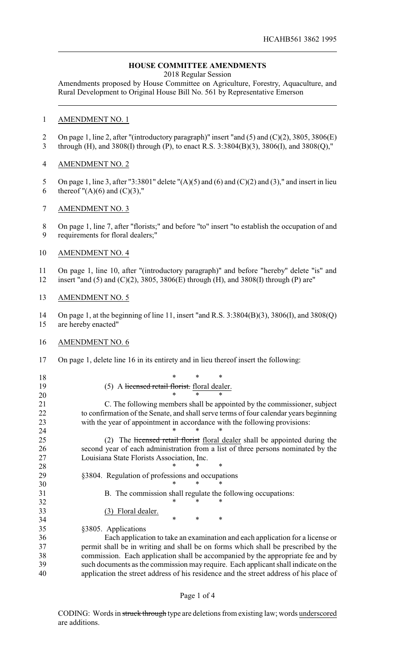## **HOUSE COMMITTEE AMENDMENTS**

2018 Regular Session

Amendments proposed by House Committee on Agriculture, Forestry, Aquaculture, and Rural Development to Original House Bill No. 561 by Representative Emerson

## AMENDMENT NO. 1

- 2 On page 1, line 2, after "(introductory paragraph)" insert "and (5) and (C)(2), 3805, 3806(E)
- through (H), and 3808(I) through (P), to enact R.S. 3:3804(B)(3), 3806(I), and 3808(Q),"

## AMENDMENT NO. 2

- 5 On page 1, line 3, after "3:3801" delete " $(A)(5)$  and  $(6)$  and  $(C)(2)$  and  $(3)$ ," and insert in lieu 6 thereof  $''(A)(6)$  and  $(C)(3)$ ,"
- AMENDMENT NO. 3
- On page 1, line 7, after "florists;" and before "to" insert "to establish the occupation of and requirements for floral dealers;"
- AMENDMENT NO. 4
- On page 1, line 10, after "(introductory paragraph)" and before "hereby" delete "is" and
- insert "and (5) and (C)(2), 3805, 3806(E) through (H), and 3808(I) through (P) are"
- AMENDMENT NO. 5

 On page 1, at the beginning of line 11, insert "and R.S. 3:3804(B)(3), 3806(I), and 3808(Q) are hereby enacted"

- AMENDMENT NO. 6
- On page 1, delete line 16 in its entirety and in lieu thereof insert the following:
- \* \* \* 19 (5) A licensed retail florist. floral dealer.<br>  $20 * * * * *$  \* \* \* C. The following members shall be appointed by the commissioner, subject to confirmation of the Senate, and shall serve terms of four calendar years beginning with the year of appointment in accordance with the following provisions:

25 (2) The licensed retail florist floral dealer shall be appointed during the second year of each administration from a list of three persons nominated by the Louisiana State Florists Association, Inc.

- **\*** \* \* \* §3804. Regulation of professions and occupations
- \* \* \*
- B. The commission shall regulate the following occupations: 32 \* \* \* \*
- (3) Floral dealer.

**\*** \* \* \*

 \* \* \* §3805. Applications

 Each application to take an examination and each application for a license or permit shall be in writing and shall be on forms which shall be prescribed by the commission. Each application shall be accompanied by the appropriate fee and by such documents as the commission may require. Each applicant shall indicate on the application the street address of his residence and the street address of his place of

## Page 1 of 4

CODING: Words in struck through type are deletions from existing law; words underscored are additions.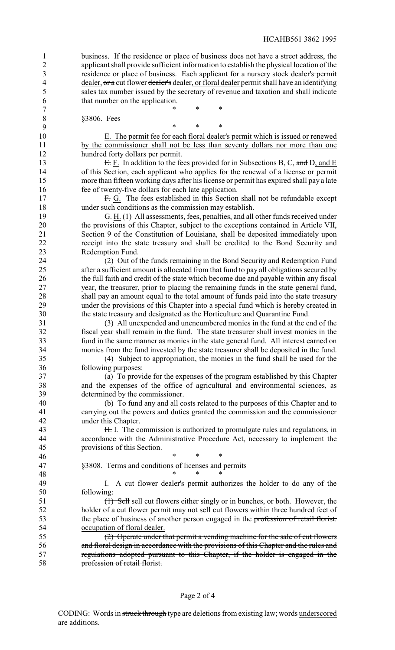business. If the residence or place of business does not have a street address, the applicant shall provide sufficient information to establish the physical location of the residence or place of business. Each applicant for a nursery stock dealer's permit 4 dealer, or a cut flower dealer's dealer, or floral dealer permit shall have an identifying sales tax number issued by the secretary of revenue and taxation and shall indicate that number on the application.

7 \* \* \* \*

 §3806. Fees \* \* \* E. The permit fee for each floral dealer's permit which is issued or renewed 11 by the commissioner shall not be less than seventy dollars nor more than one hundred forty dollars per permit. **E.** F. In addition to the fees provided for in Subsections B, C, and D, and E of this Section, each applicant who applies for the renewal of a license or permit more than fifteen working days after his license or permit has expired shall pay a late fee of twenty-five dollars for each late application. 17 F. G. The fees established in this Section shall not be refundable except under such conditions as the commission may establish. 19 <del>G.</del> H. (1) All assessments, fees, penalties, and all other funds received under the provisions of this Chapter, subject to the exceptions contained in Article VII, Section 9 of the Constitution of Louisiana, shall be deposited immediately upon receipt into the state treasury and shall be credited to the Bond Security and Redemption Fund. 24 (2) Out of the funds remaining in the Bond Security and Redemption Fund<br>25 after a sufficient amount is allocated from that fund to navall obligations secured by after a sufficient amount is allocated from that fund to pay all obligations secured by the full faith and credit of the state which become due and payable within any fiscal year, the treasurer, prior to placing the remaining funds in the state general fund, shall pay an amount equal to the total amount of funds paid into the state treasury under the provisions of this Chapter into a special fund which is hereby created in the state treasury and designated as the Horticulture and Quarantine Fund. (3) All unexpended and unencumbered monies in the fund at the end of the fiscal year shall remain in the fund. The state treasurer shall invest monies in the fund in the same manner as monies in the state general fund. All interest earned on monies from the fund invested by the state treasurer shall be deposited in the fund. (4) Subject to appropriation, the monies in the fund shall be used for the following purposes: (a) To provide for the expenses of the program established by this Chapter and the expenses of the office of agricultural and environmental sciences, as determined by the commissioner. (b) To fund any and all costs related to the purposes of this Chapter and to carrying out the powers and duties granted the commission and the commissioner under this Chapter. 43 H. I. The commission is authorized to promulgate rules and regulations, in accordance with the Administrative Procedure Act, necessary to implement the provisions of this Section. 46 \* \* \* \* \* §3808. Terms and conditions of licenses and permits 48 \* \* \* \* 49 I. A cut flower dealer's permit authorizes the holder to do any of the following: (1) Sell sell cut flowers either singly or in bunches, or both. However, the holder of a cut flower permit may not sell cut flowers within three hundred feet of 53 the place of business of another person engaged in the profession of retail florist.<br>54 cocupation of floral dealer. occupation of floral dealer. (2) Operate under that permit a vending machine for the sale of cut flowers and floral design in accordance with the provisions of this Chapter and the rules and regulations adopted pursuant to this Chapter, if the holder is engaged in the profession of retail florist.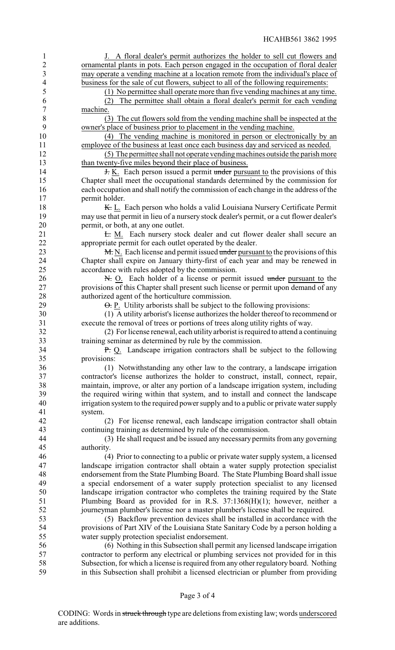| 1                        | J. A floral dealer's permit authorizes the holder to sell cut flowers and                |
|--------------------------|------------------------------------------------------------------------------------------|
| $\overline{2}$           | ornamental plants in pots. Each person engaged in the occupation of floral dealer        |
| 3                        | may operate a vending machine at a location remote from the individual's place of        |
|                          |                                                                                          |
| $\overline{\mathcal{A}}$ | business for the sale of cut flowers, subject to all of the following requirements:      |
| 5                        | (1) No permittee shall operate more than five vending machines at any time.              |
| 6                        | The permittee shall obtain a floral dealer's permit for each vending<br>(2)              |
| $\tau$                   | machine.                                                                                 |
| $8\,$                    | (3) The cut flowers sold from the vending machine shall be inspected at the              |
| 9                        | owner's place of business prior to placement in the vending machine.                     |
| 10                       | (4) The vending machine is monitored in person or electronically by an                   |
|                          |                                                                                          |
| 11                       | employee of the business at least once each business day and serviced as needed.         |
| 12                       | (5) The permittee shall not operate vending machines outside the parish more             |
| 13                       | than twenty-five miles beyond their place of business.                                   |
| 14                       | <b>H.</b> K. Each person issued a permit under pursuant to the provisions of this        |
| 15                       | Chapter shall meet the occupational standards determined by the commission for           |
| 16                       | each occupation and shall notify the commission of each change in the address of the     |
| 17                       | permit holder.                                                                           |
| 18                       | K. L. Each person who holds a valid Louisiana Nursery Certificate Permit                 |
|                          |                                                                                          |
| 19                       | may use that permit in lieu of a nursery stock dealer's permit, or a cut flower dealer's |
| 20                       | permit, or both, at any one outlet.                                                      |
| 21                       | E. M. Each nursery stock dealer and cut flower dealer shall secure an                    |
| 22                       | appropriate permit for each outlet operated by the dealer.                               |
| 23                       | M. N. Each license and permit issued under pursuant to the provisions of this            |
| 24                       | Chapter shall expire on January thirty-first of each year and may be renewed in          |
| 25                       | accordance with rules adopted by the commission.                                         |
|                          |                                                                                          |
| 26                       | N. O. Each holder of a license or permit issued under pursuant to the                    |
| 27                       | provisions of this Chapter shall present such license or permit upon demand of any       |
| 28                       | authorized agent of the horticulture commission.                                         |
| 29                       | $\Theta$ . P. Utility arborists shall be subject to the following provisions:            |
| 30                       | (1) A utility arborist's license authorizes the holder thereof to recommend or           |
| 31                       | execute the removal of trees or portions of trees along utility rights of way.           |
| 32                       | (2) For license renewal, each utility arborist is required to attend a continuing        |
|                          |                                                                                          |
| 33                       | training seminar as determined by rule by the commission.                                |
| 34                       | P. Q. Landscape irrigation contractors shall be subject to the following                 |
| 35                       | provisions:                                                                              |
| 36                       | (1) Notwithstanding any other law to the contrary, a landscape irrigation                |
| 37                       | contractor's license authorizes the holder to construct, install, connect, repair,       |
| 38                       | maintain, improve, or alter any portion of a landscape irrigation system, including      |
| 39                       |                                                                                          |
|                          | the required wiring within that system, and to install and connect the landscape         |
| 40                       | irrigation system to the required power supply and to a public or private water supply   |
| 41                       | system.                                                                                  |
| 42                       | (2) For license renewal, each landscape irrigation contractor shall obtain               |
| 43                       | continuing training as determined by rule of the commission.                             |
| 44                       | (3) He shall request and be issued any necessary permits from any governing              |
| 45                       | authority.                                                                               |
| 46                       |                                                                                          |
|                          | (4) Prior to connecting to a public or private water supply system, a licensed           |
| 47                       | landscape irrigation contractor shall obtain a water supply protection specialist        |
| 48                       | endorsement from the State Plumbing Board. The State Plumbing Board shall issue          |
| 49                       | a special endorsement of a water supply protection specialist to any licensed            |
| 50                       | landscape irrigation contractor who completes the training required by the State         |
| 51                       | Plumbing Board as provided for in R.S. 37:1368(H)(1); however, neither a                 |
| 52                       | journeyman plumber's license nor a master plumber's license shall be required.           |
|                          |                                                                                          |
| 53                       | (5) Backflow prevention devices shall be installed in accordance with the                |
| 54                       | provisions of Part XIV of the Louisiana State Sanitary Code by a person holding a        |
| 55                       | water supply protection specialist endorsement.                                          |
| 56                       | (6) Nothing in this Subsection shall permit any licensed landscape irrigation            |
| 57                       | contractor to perform any electrical or plumbing services not provided for in this       |
| 58                       | Subsection, for which a license is required from any other regulatory board. Nothing     |
| 59                       | in this Subsection shall prohibit a licensed electrician or plumber from providing       |
|                          |                                                                                          |